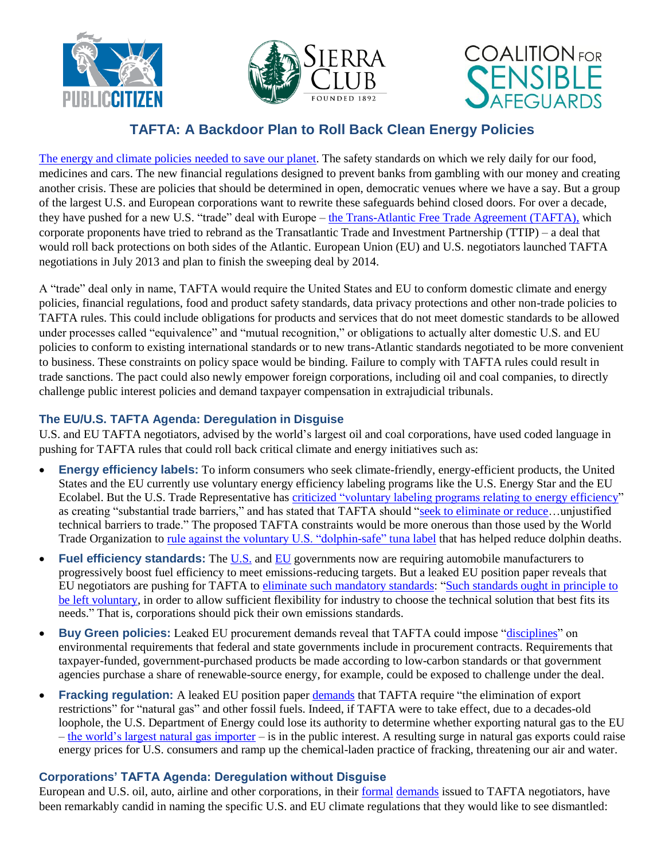





# **TAFTA: A Backdoor Plan to Roll Back Clean Energy Policies**

[The energy and climate policies needed to save our planet.](http://action.sierraclub.org/site/DocServer/TTIP_Report_2.pdf?docID=13561) The safety standards on which we rely daily for our food, medicines and cars. The new financial regulations designed to prevent banks from gambling with our money and creating another crisis. These are policies that should be determined in open, democratic venues where we have a say. But a group of the largest U.S. and European corporations want to rewrite these safeguards behind closed doors. For over a decade, they have pushed for a new U.S. "trade" deal with Europe – [the Trans-Atlantic Free Trade Agreement \(TAFTA\),](http://www.citizen.org/tafta) which corporate proponents have tried to rebrand as the Transatlantic Trade and Investment Partnership (TTIP) – a deal that would roll back protections on both sides of the Atlantic. European Union (EU) and U.S. negotiators launched TAFTA negotiations in July 2013 and plan to finish the sweeping deal by 2014.

A "trade" deal only in name, TAFTA would require the United States and EU to conform domestic climate and energy policies, financial regulations, food and product safety standards, data privacy protections and other non-trade policies to TAFTA rules. This could include obligations for products and services that do not meet domestic standards to be allowed under processes called "equivalence" and "mutual recognition," or obligations to actually alter domestic U.S. and EU policies to conform to existing international standards or to new trans-Atlantic standards negotiated to be more convenient to business. These constraints on policy space would be binding. Failure to comply with TAFTA rules could result in trade sanctions. The pact could also newly empower foreign corporations, including oil and coal companies, to directly challenge public interest policies and demand taxpayer compensation in extrajudicial tribunals.

# **The EU/U.S. TAFTA Agenda: Deregulation in Disguise**

U.S. and EU TAFTA negotiators, advised by the world's largest oil and coal corporations, have used coded language in pushing for TAFTA rules that could roll back critical climate and energy initiatives such as:

- **Energy efficiency labels:** To inform consumers who seek climate-friendly, energy-efficient products, the United States and the EU currently use voluntary energy efficiency labeling programs like the U.S. Energy Star and the EU Ecolabel. But the U.S. Trade Representative has criticized ["voluntary labeling programs relating to energy efficiency"](http://www.ustr.gov/sites/default/files/2013%20TBT.pdf) as creating "substantial trade barriers," and has stated that TAFTA should "seek to eliminate or reduce...unjustified technical barriers to trade." The proposed TAFTA constraints would be more onerous than those used by the World Trade Organization to [rule against the voluntary U.S. "dolphin-safe" tuna label](http://www.citizen.org/documents/press-release-noaa-dolphin-tuna-rule-july-2013.pdf) that has helped reduce dolphin deaths.
- **Fuel efficiency standards:** The [U.S.](http://www.nytimes.com/2012/08/29/business/energy-environment/obama-unveils-tighter-fuel-efficiency-standards.html) and [EU](http://ec.europa.eu/clima/policies/transport/vehicles/index_en.htm) governments now are requiring automobile manufacturers to progressively boost fuel efficiency to meet emissions-reducing targets. But a leaked EU position paper reveals that EU negotiators are pushing for TAFTA to [eliminate such mandatory standards:](http://sierraclub.typepad.com/compass/2013/09/gas-guzzling-trade-deals-us-eu-trade-negotiations-and-vehicle-fuel-economy.html) ["Such standards ought in principle to](http://www.iatp.org/files/TPC-TTIP-non-Papers-for-1st-Round-Negotiatons-June20-2013.pdf)  [be left voluntary,](http://www.iatp.org/files/TPC-TTIP-non-Papers-for-1st-Round-Negotiatons-June20-2013.pdf) in order to allow sufficient flexibility for industry to choose the technical solution that best fits its needs." That is, corporations should pick their own emissions standards.
- **Buy Green policies:** Leaked EU procurement demands reveal that TAFTA could impose ["disciplines"](http://www.iatp.org/files/TPC-TTIP-non-Papers-for-1st-Round-Negotiatons-June20-2013.pdf) on environmental requirements that federal and state governments include in procurement contracts. Requirements that taxpayer-funded, government-purchased products be made according to low-carbon standards or that government agencies purchase a share of renewable-source energy, for example, could be exposed to challenge under the deal.
- **Fracking regulation:** A leaked EU position pape[r demands](http://www.iatp.org/files/TPC-TTIP-non-Papers-for-1st-Round-Negotiatons-June20-2013.pdf) that TAFTA require "the elimination of export restrictions" for "natural gas" and other fossil fuels. Indeed, if TAFTA were to take effect, due to a decades-old loophole, the U.S. Department of Energy could lose its authority to determine whether exporting natural gas to the EU – [the world's largest natural gas importer](http://www.eia.gov/cfapps/ipdbproject/iedindex3.cfm?tid=3&pid=26&aid=3&cid=CG1,&syid=2008&eyid=2012&unit=BCF) – is in the public interest. A resulting surge in natural gas exports could raise energy prices for U.S. consumers and ramp up the chemical-laden practice of fracking, threatening our air and water.

# **Corporations' TAFTA Agenda: Deregulation without Disguise**

European and U.S. oil, auto, airline and other corporations, in their [formal](http://www.regulations.gov/#!docketBrowser;rpp=50;po=0;D=USTR-2013-0019) [demands](http://ec.europa.eu/enterprise/policies/international/cooperating-governments/usa/jobs-growth/consultation-on-regulatory-issues_en.htm) issued to TAFTA negotiators, have been remarkably candid in naming the specific U.S. and EU climate regulations that they would like to see dismantled: